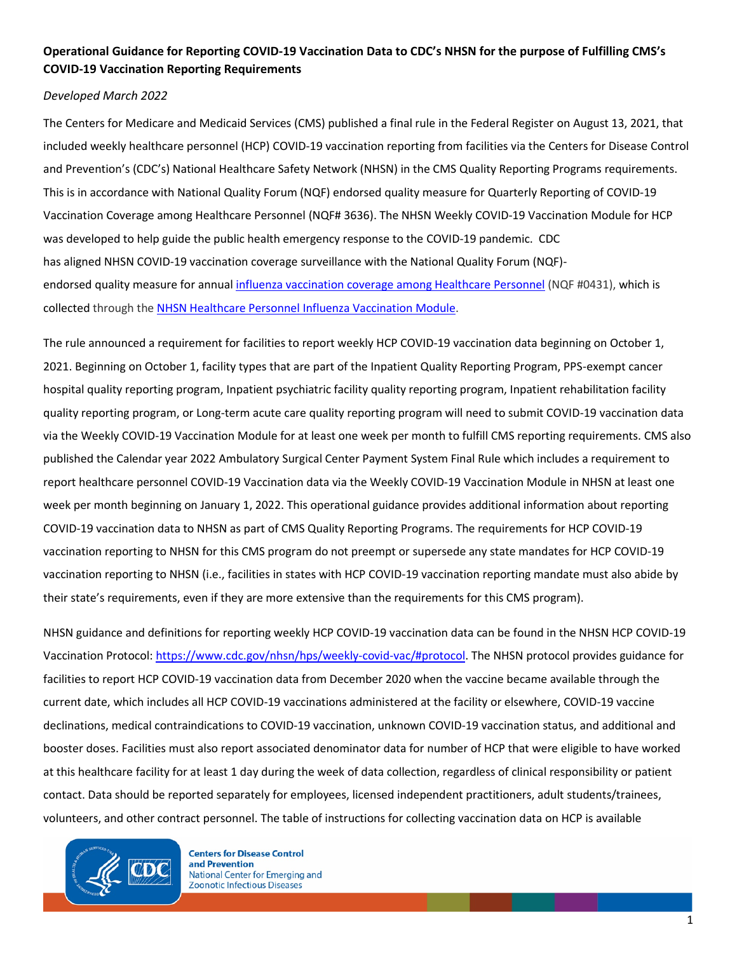## **Operational Guidance for Reporting COVID-19 Vaccination Data to CDC's NHSN for the purpose of Fulfilling CMS's COVID-19 Vaccination Reporting Requirements**

#### *Developed March 2022*

The Centers for Medicare and Medicaid Services (CMS) published a final rule in the Federal Register on August 13, 2021, that included weekly healthcare personnel (HCP) COVID-19 vaccination reporting from facilities via the Centers for Disease Control and Prevention's (CDC's) National Healthcare Safety Network (NHSN) in the CMS Quality Reporting Programs requirements. This is in accordance with National Quality Forum (NQF) endorsed quality measure for Quarterly Reporting of COVID-19 Vaccination Coverage among Healthcare Personnel (NQF# 3636). The NHSN Weekly COVID-19 Vaccination Module for HCP was developed to help guide the public health emergency response to the COVID-19 pandemic. CDC has aligned NHSN COVID-19 vaccination coverage surveillance with the National Quality Forum (NQF) endorsed quality measure for annual [influenza vaccination coverage among Healthcare Pe](https://cmit.cms.gov/CMIT_public/ViewMeasure?MeasureId=854)rsonnel (NQF #0431), which is collected through th[e NHSN Healthcare Personnel Influenza Vaccination Module.](https://www.cdc.gov/nhsn/hps/vaccination/index.html)

The rule announced a requirement for facilities to report weekly HCP COVID-19 vaccination data beginning on October 1, 2021. Beginning on October 1, facility types that are part of the Inpatient Quality Reporting Program, PPS-exempt cancer hospital quality reporting program, Inpatient psychiatric facility quality reporting program, Inpatient rehabilitation facility quality reporting program, or Long-term acute care quality reporting program will need to submit COVID-19 vaccination data via the Weekly COVID-19 Vaccination Module for at least one week per month to fulfill CMS reporting requirements. CMS also published the Calendar year 2022 Ambulatory Surgical Center Payment System Final Rule which includes a requirement to report healthcare personnel COVID-19 Vaccination data via the Weekly COVID-19 Vaccination Module in NHSN at least one week per month beginning on January 1, 2022. This operational guidance provides additional information about reporting COVID-19 vaccination data to NHSN as part of CMS Quality Reporting Programs. The requirements for HCP COVID-19 vaccination reporting to NHSN for this CMS program do not preempt or supersede any state mandates for HCP COVID-19 vaccination reporting to NHSN (i.e., facilities in states with HCP COVID-19 vaccination reporting mandate must also abide by their state's requirements, even if they are more extensive than the requirements for this CMS program).

NHSN guidance and definitions for reporting weekly HCP COVID-19 vaccination data can be found in the NHSN HCP COVID-19 Vaccination Protocol[: https://www.cdc.gov/nhsn/hps/weekly-covid-vac/#protocol.](https://www.cdc.gov/nhsn/hps/weekly-covid-vac/#protocol) The NHSN protocol provides guidance for facilities to report HCP COVID-19 vaccination data from December 2020 when the vaccine became available through the current date, which includes all HCP COVID-19 vaccinations administered at the facility or elsewhere, COVID-19 vaccine declinations, medical contraindications to COVID-19 vaccination, unknown COVID-19 vaccination status, and additional and booster doses. Facilities must also report associated denominator data for number of HCP that were eligible to have worked at this healthcare facility for at least 1 day during the week of data collection, regardless of clinical responsibility or patient contact. Data should be reported separately for employees, licensed independent practitioners, adult students/trainees, volunteers, and other contract personnel. The table of instructions for collecting vaccination data on HCP is available



**Centers for Disease Control** and Prevention National Center for Emerging and **Zoonotic Infectious Diseases**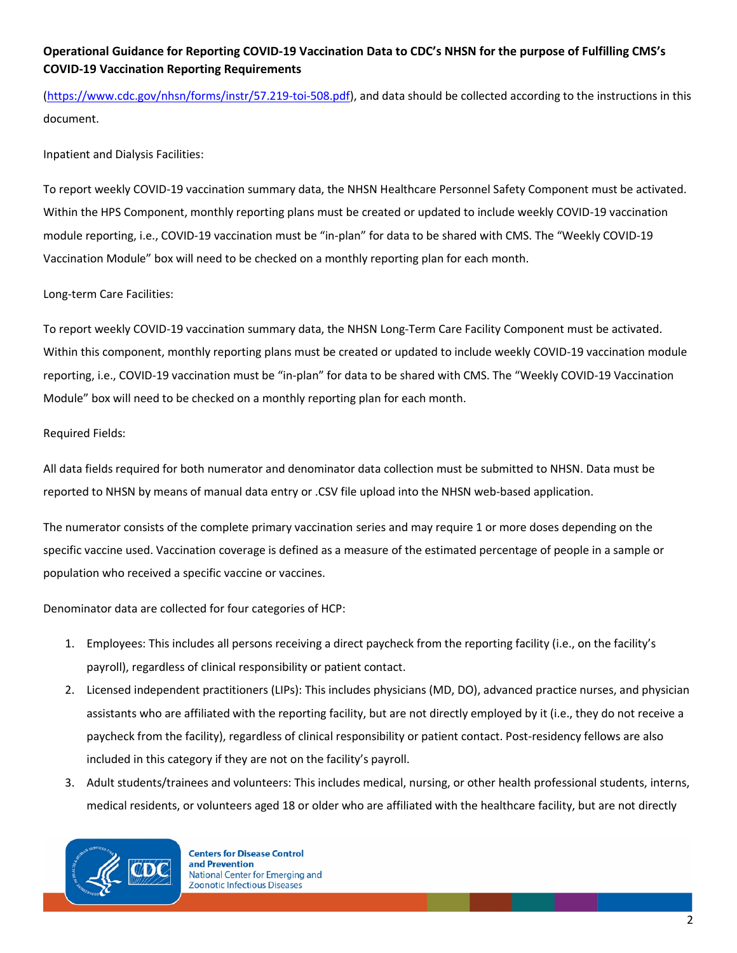## **Operational Guidance for Reporting COVID-19 Vaccination Data to CDC's NHSN for the purpose of Fulfilling CMS's COVID-19 Vaccination Reporting Requirements**

[\(https://www.cdc.gov/nhsn/forms/instr/57.219-toi-508.pdf\)](https://www.cdc.gov/nhsn/forms/instr/57.219-toi-508.pdf), and data should be collected according to the instructions in this document.

Inpatient and Dialysis Facilities:

To report weekly COVID-19 vaccination summary data, the NHSN Healthcare Personnel Safety Component must be activated. Within the HPS Component, monthly reporting plans must be created or updated to include weekly COVID-19 vaccination module reporting, i.e., COVID-19 vaccination must be "in-plan" for data to be shared with CMS. The "Weekly COVID-19 Vaccination Module" box will need to be checked on a monthly reporting plan for each month.

Long-term Care Facilities:

To report weekly COVID-19 vaccination summary data, the NHSN Long-Term Care Facility Component must be activated. Within this component, monthly reporting plans must be created or updated to include weekly COVID-19 vaccination module reporting, i.e., COVID-19 vaccination must be "in-plan" for data to be shared with CMS. The "Weekly COVID-19 Vaccination Module" box will need to be checked on a monthly reporting plan for each month.

Required Fields:

All data fields required for both numerator and denominator data collection must be submitted to NHSN. Data must be reported to NHSN by means of manual data entry or .CSV file upload into the NHSN web-based application.

The numerator consists of the complete primary vaccination series and may require 1 or more doses depending on the specific vaccine used. Vaccination coverage is defined as a measure of the estimated percentage of people in a sample or population who received a specific vaccine or vaccines.

Denominator data are collected for four categories of HCP:

- 1. Employees: This includes all persons receiving a direct paycheck from the reporting facility (i.e., on the facility's payroll), regardless of clinical responsibility or patient contact.
- 2. Licensed independent practitioners (LIPs): This includes physicians (MD, DO), advanced practice nurses, and physician assistants who are affiliated with the reporting facility, but are not directly employed by it (i.e., they do not receive a paycheck from the facility), regardless of clinical responsibility or patient contact. Post-residency fellows are also included in this category if they are not on the facility's payroll.
- 3. Adult students/trainees and volunteers: This includes medical, nursing, or other health professional students, interns, medical residents, or volunteers aged 18 or older who are affiliated with the healthcare facility, but are not directly



**Centers for Disease Control** and Prevention National Center for Emerging and **Zoonotic Infectious Diseases**